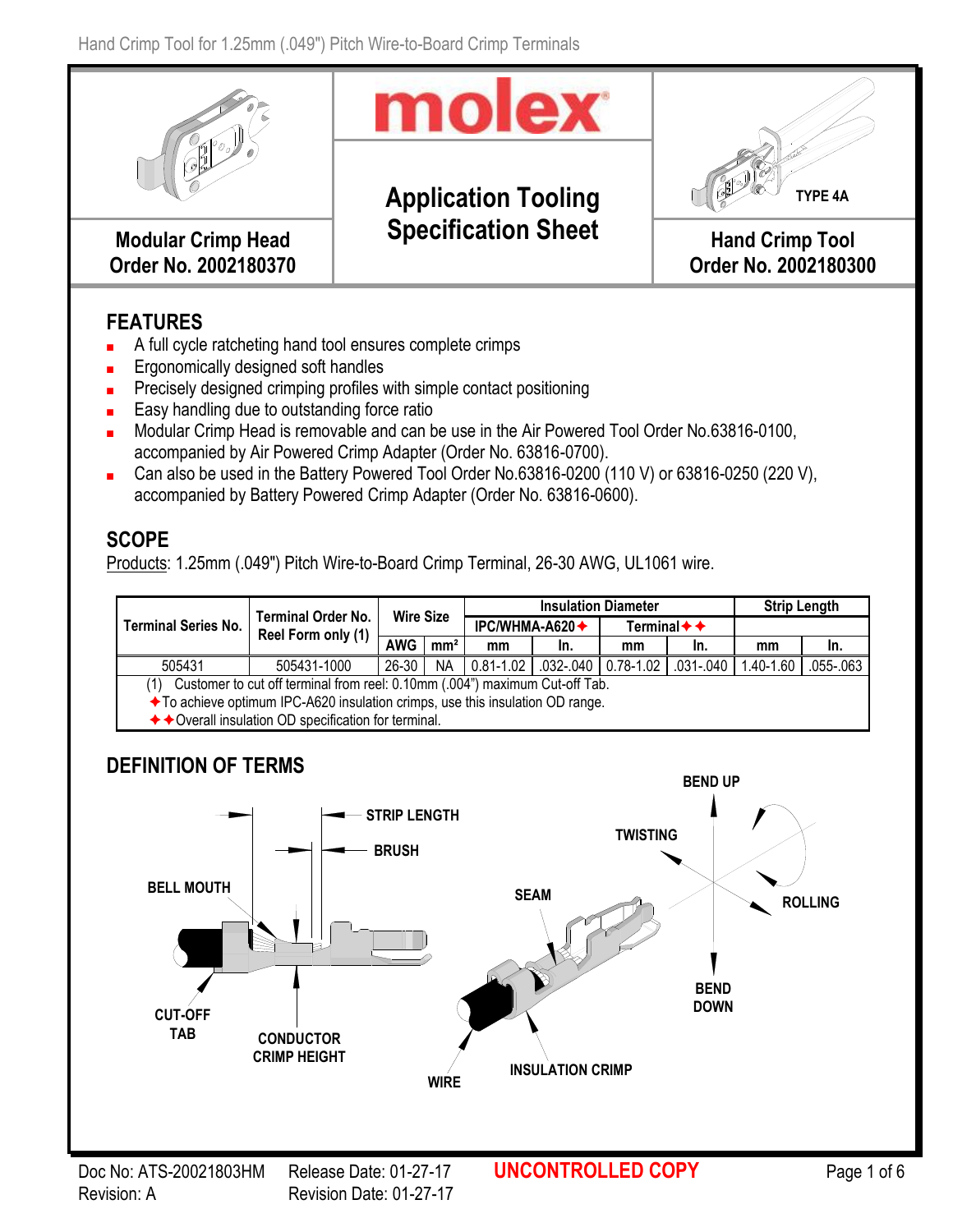

## **FEATURES**

- A full cycle ratcheting hand tool ensures complete crimps
- Ergonomically designed soft handles
- Precisely designed crimping profiles with simple contact positioning
- Easy handling due to outstanding force ratio
- Modular Crimp Head is removable and can be use in the Air Powered Tool Order No.63816-0100, accompanied by Air Powered Crimp Adapter (Order No. 63816-0700).
- Can also be used in the Battery Powered Tool Order No.63816-0200 (110 V) or 63816-0250 (220 V), accompanied by Battery Powered Crimp Adapter (Order No. 63816-0600).

### **SCOPE**

Products: 1.25mm (.049") Pitch Wire-to-Board Crimp Terminal, 26-30 AWG, UL1061 wire.

|                                                                                    |                                                       | <b>Wire Size</b> |                 |                               | <b>Insulation Diameter</b> | <b>Strip Length</b>                      |               |           |           |  |
|------------------------------------------------------------------------------------|-------------------------------------------------------|------------------|-----------------|-------------------------------|----------------------------|------------------------------------------|---------------|-----------|-----------|--|
| <b>Terminal Series No.</b>                                                         | <b>Terminal Order No.</b><br>Reel Form only (1)       |                  |                 | IPC/WHMA-A620 $\blacklozenge$ |                            | Terminal $\blacklozenge$ $\blacklozenge$ |               |           |           |  |
|                                                                                    |                                                       | <b>AWG</b>       | mm <sup>2</sup> | mm                            | In.                        | mm                                       | In.           | mm        | In.       |  |
| 505431                                                                             | 505431-1000                                           | $26 - 30$        | <b>NA</b>       | $0.81 - 1.02$                 | $.032 - .040$   0.78-1.02  |                                          | $.031 - .040$ | 1.40-1.60 | .055-.063 |  |
| Customer to cut off terminal from reel: 0.10mm (.004") maximum Cut-off Tab.<br>(1) |                                                       |                  |                 |                               |                            |                                          |               |           |           |  |
| ◆ To achieve optimum IPC-A620 insulation crimps, use this insulation OD range.     |                                                       |                  |                 |                               |                            |                                          |               |           |           |  |
|                                                                                    | ◆ ◆ Overall insulation OD specification for terminal. |                  |                 |                               |                            |                                          |               |           |           |  |

# **DEFINITION OF TERMS**

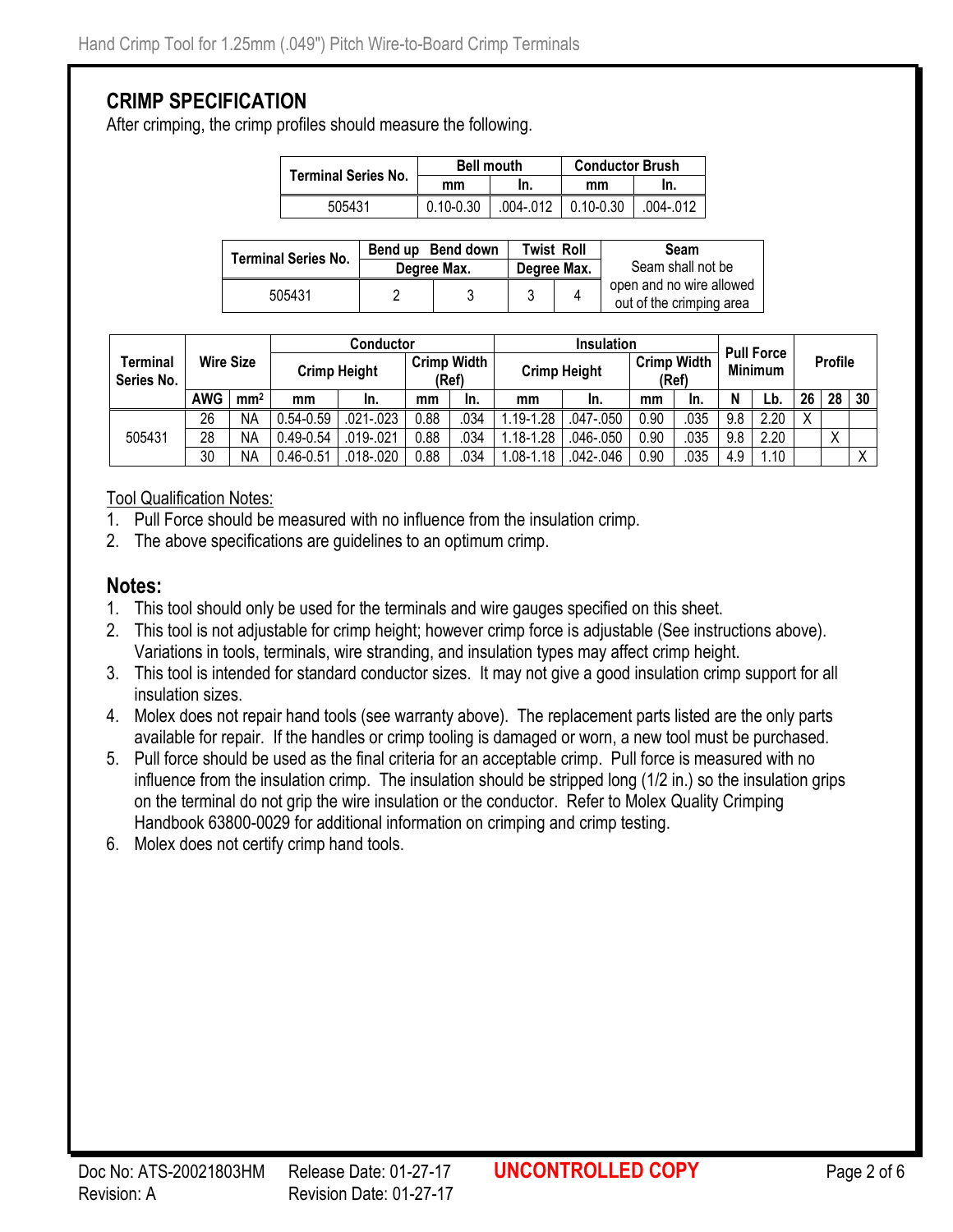### **CRIMP SPECIFICATION**

After crimping, the crimp profiles should measure the following.

| Terminal Series No. |               | <b>Bell mouth</b> | <b>Conductor Brush</b> |           |  |  |
|---------------------|---------------|-------------------|------------------------|-----------|--|--|
|                     | mm            |                   | mm                     | In.       |  |  |
| 505431              | $0.10 - 0.30$ | .004-.012         | $0.10 - 0.30$          | .004-.012 |  |  |

| <b>Terminal Series No.</b> | Bend up Bend down | Twist Roll  | Seam<br>Seam shall not be |                                                      |  |
|----------------------------|-------------------|-------------|---------------------------|------------------------------------------------------|--|
|                            | Degree Max.       | Degree Max. |                           |                                                      |  |
| 505431                     |                   |             |                           | open and no wire allowed<br>out of the crimping area |  |

|                        |                  |                 | <b>Conductor</b> |                     |       |                    | <b>Insulation</b>   |               |                                               |      | <b>Pull Force</b> |                |    |    |    |
|------------------------|------------------|-----------------|------------------|---------------------|-------|--------------------|---------------------|---------------|-----------------------------------------------|------|-------------------|----------------|----|----|----|
| Terminal<br>Series No. | <b>Wire Size</b> |                 |                  | <b>Crimp Height</b> | (Ref) | <b>Crimp Width</b> | <b>Crimp Height</b> |               | <b>Crimp Width</b><br><b>Minimum</b><br>(Ref) |      |                   | <b>Profile</b> |    |    |    |
|                        | <b>AWG</b>       | mm <sup>2</sup> | mm               | In.                 | mm    | In.                | mm                  | In.           | mm                                            | In.  | N                 | Lb             | 26 | 28 | 30 |
|                        | 26               | <b>NA</b>       | $0.54 - 0.59$    | $.021 - .023$       | 0.88  | 034                | .19-1.28            | $.047 - .050$ | 0.90                                          | .035 | 9.8               | 2.20           | Χ  |    |    |
| 505431                 | 28               | NA              | $0.49 - 0.54$    | .019 - .021         | 0.88  | 034                | $.18 - 1.28$        | .046-.050     | 0.90                                          | .035 | 9.8               | 2.20           |    | Χ  |    |
|                        | 30               | NA              | $0.46 - 0.51$    | $.018 - .020$       | 0.88  | 034                | $.08 - 1.18$        | .042-.046     | 0.90                                          | .035 | 4.9               | .10            |    |    |    |

Tool Qualification Notes:

- 1. Pull Force should be measured with no influence from the insulation crimp.
- 2. The above specifications are guidelines to an optimum crimp.

#### **Notes:**

- 1. This tool should only be used for the terminals and wire gauges specified on this sheet.
- 2. This tool is not adjustable for crimp height; however crimp force is adjustable (See instructions above). Variations in tools, terminals, wire stranding, and insulation types may affect crimp height.
- 3. This tool is intended for standard conductor sizes. It may not give a good insulation crimp support for all insulation sizes.
- 4. Molex does not repair hand tools (see warranty above). The replacement parts listed are the only parts available for repair. If the handles or crimp tooling is damaged or worn, a new tool must be purchased.
- 5. Pull force should be used as the final criteria for an acceptable crimp. Pull force is measured with no influence from the insulation crimp. The insulation should be stripped long (1/2 in.) so the insulation grips on the terminal do not grip the wire insulation or the conductor. Refer to Molex Quality Crimping Handbook 63800-0029 for additional information on crimping and crimp testing.
- 6. Molex does not certify crimp hand tools.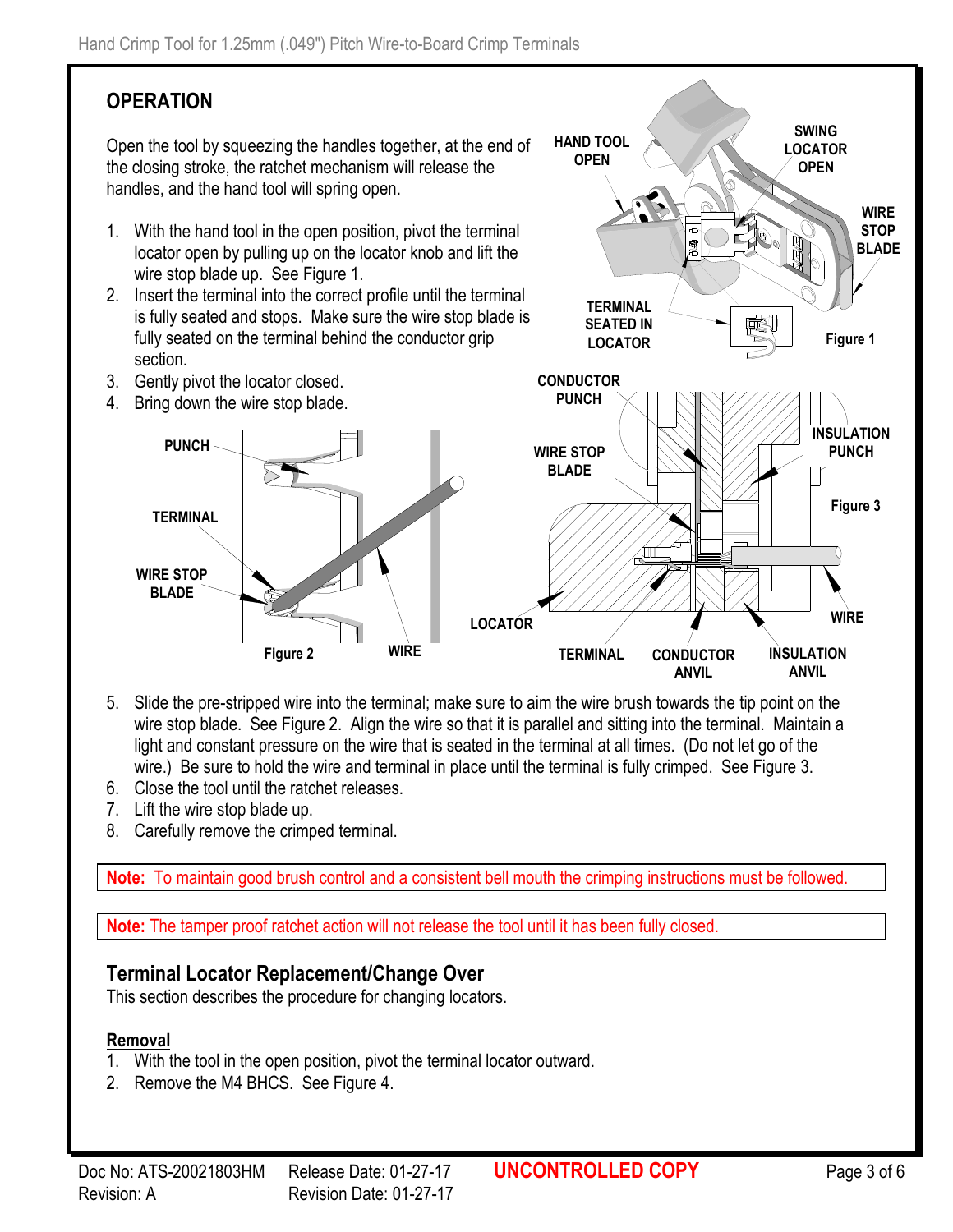# **OPERATION**

Open the tool by squeezing the handles together, at the end of the closing stroke, the ratchet mechanism will release the handles, and the hand tool will spring open.

- 1. With the hand tool in the open position, pivot the terminal locator open by pulling up on the locator knob and lift the wire stop blade up. See Figure 1.
- 2. Insert the terminal into the correct profile until the terminal is fully seated and stops. Make sure the wire stop blade is fully seated on the terminal behind the conductor grip section.
- 3. Gently pivot the locator closed.
- 4. Bring down the wire stop blade.



**HAND TOOL OPEN**

- 5. Slide the pre-stripped wire into the terminal; make sure to aim the wire brush towards the tip point on the wire stop blade. See Figure 2. Align the wire so that it is parallel and sitting into the terminal. Maintain a light and constant pressure on the wire that is seated in the terminal at all times. (Do not let go of the wire.) Be sure to hold the wire and terminal in place until the terminal is fully crimped. See Figure 3.
- 6. Close the tool until the ratchet releases.
- 7. Lift the wire stop blade up.
- 8. Carefully remove the crimped terminal.

**Note:** To maintain good brush control and a consistent bell mouth the crimping instructions must be followed.

**Note:** The tamper proof ratchet action will not release the tool until it has been fully closed.

### **Terminal Locator Replacement/Change Over**

This section describes the procedure for changing locators.

#### **Removal**

- 1. With the tool in the open position, pivot the terminal locator outward.
- 2. Remove the M4 BHCS. See Figure 4.

**SWING LOCATOR OPEN**

> **WIRE STOP**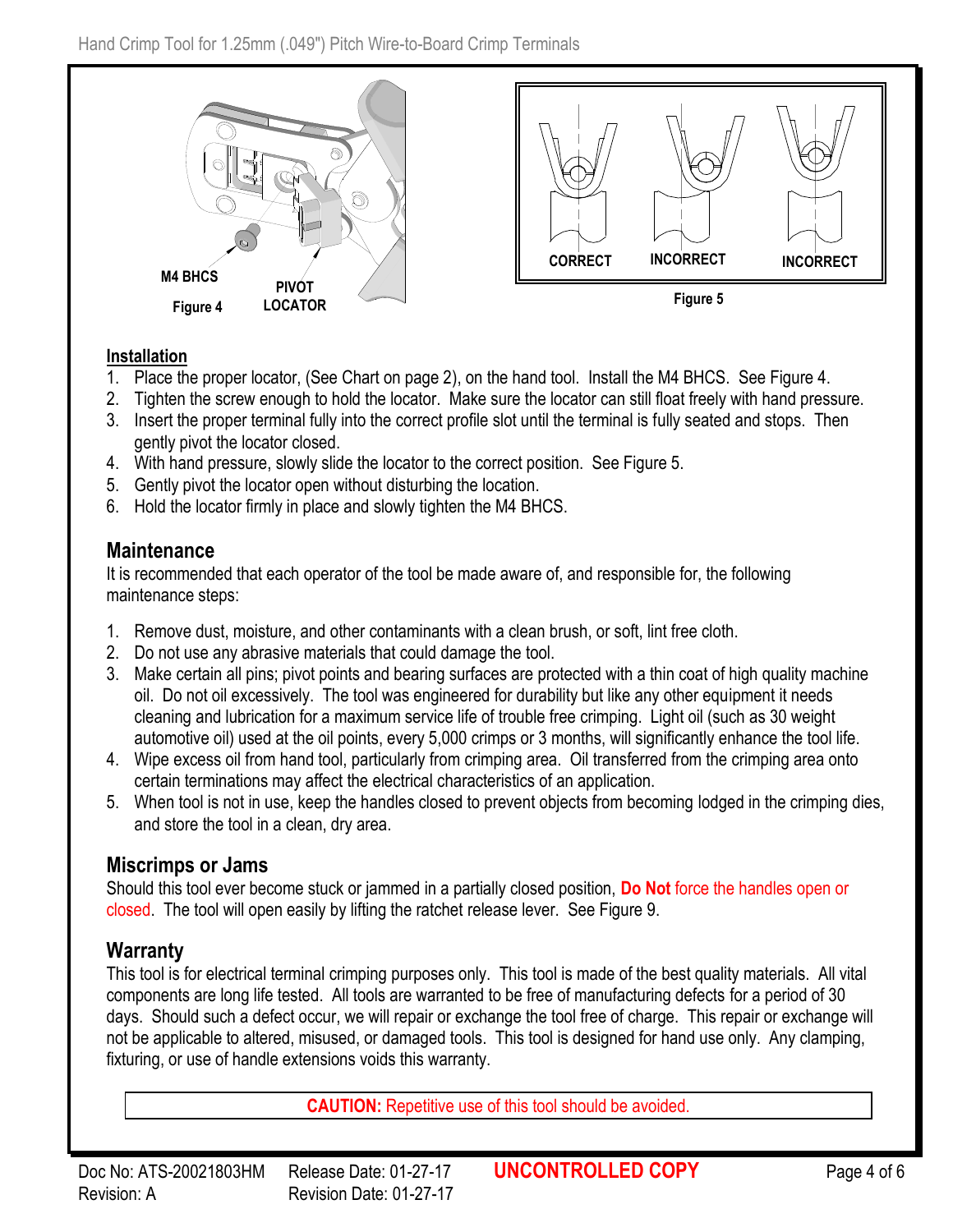

#### **Installation**

- 1. Place the proper locator, (See Chart on page 2), on the hand tool. Install the M4 BHCS. See Figure 4.
- 2. Tighten the screw enough to hold the locator. Make sure the locator can still float freely with hand pressure.
- 3. Insert the proper terminal fully into the correct profile slot until the terminal is fully seated and stops. Then gently pivot the locator closed.
- 4. With hand pressure, slowly slide the locator to the correct position. See Figure 5.
- 5. Gently pivot the locator open without disturbing the location.
- 6. Hold the locator firmly in place and slowly tighten the M4 BHCS.

### **Maintenance**

It is recommended that each operator of the tool be made aware of, and responsible for, the following maintenance steps:

- 1. Remove dust, moisture, and other contaminants with a clean brush, or soft, lint free cloth.
- 2. Do not use any abrasive materials that could damage the tool.
- 3. Make certain all pins; pivot points and bearing surfaces are protected with a thin coat of high quality machine oil. Do not oil excessively. The tool was engineered for durability but like any other equipment it needs cleaning and lubrication for a maximum service life of trouble free crimping. Light oil (such as 30 weight automotive oil) used at the oil points, every 5,000 crimps or 3 months, will significantly enhance the tool life.
- 4. Wipe excess oil from hand tool, particularly from crimping area. Oil transferred from the crimping area onto certain terminations may affect the electrical characteristics of an application.
- 5. When tool is not in use, keep the handles closed to prevent objects from becoming lodged in the crimping dies, and store the tool in a clean, dry area.

### **Miscrimps or Jams**

Should this tool ever become stuck or jammed in a partially closed position, **Do Not** force the handles open or closed. The tool will open easily by lifting the ratchet release lever. See Figure 9.

### **Warranty**

This tool is for electrical terminal crimping purposes only. This tool is made of the best quality materials. All vital components are long life tested. All tools are warranted to be free of manufacturing defects for a period of 30 days. Should such a defect occur, we will repair or exchange the tool free of charge. This repair or exchange will not be applicable to altered, misused, or damaged tools. This tool is designed for hand use only. Any clamping, fixturing, or use of handle extensions voids this warranty.

**CAUTION:** Repetitive use of this tool should be avoided.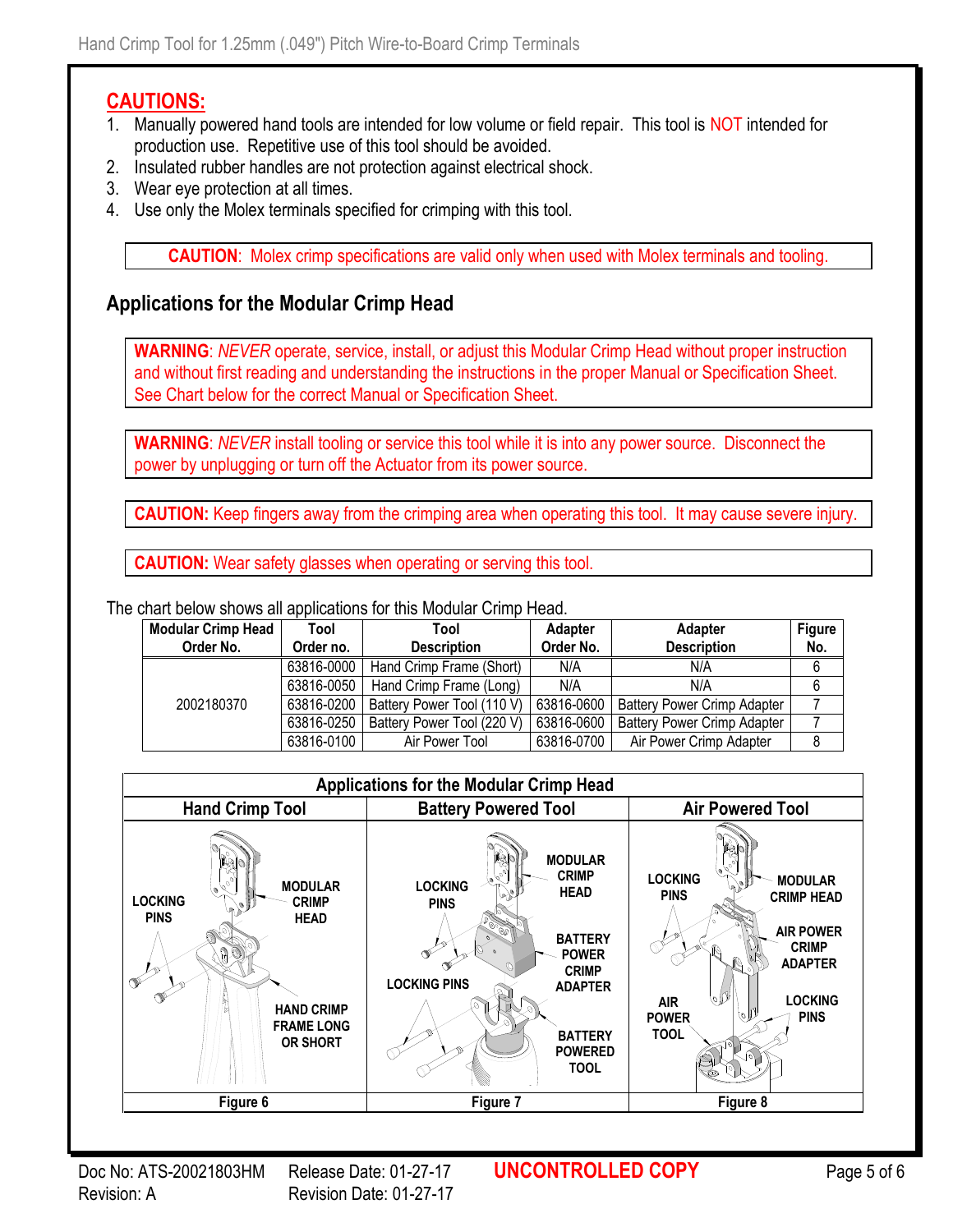### **CAUTIONS:**

- 1. Manually powered hand tools are intended for low volume or field repair. This tool is NOT intended for production use. Repetitive use of this tool should be avoided.
- 2. Insulated rubber handles are not protection against electrical shock.
- 3. Wear eye protection at all times.
- 4. Use only the Molex terminals specified for crimping with this tool.

**CAUTION**: Molex crimp specifications are valid only when used with Molex terminals and tooling.

### **Applications for the Modular Crimp Head**

**WARNING**: *NEVER* operate, service, install, or adjust this Modular Crimp Head without proper instruction and without first reading and understanding the instructions in the proper Manual or Specification Sheet. See Chart below for the correct Manual or Specification Sheet.

**WARNING**: *NEVER* install tooling or service this tool while it is into any power source. Disconnect the power by unplugging or turn off the Actuator from its power source.

**CAUTION:** Keep fingers away from the crimping area when operating this tool. It may cause severe injury.

**CAUTION:** Wear safety glasses when operating or serving this tool.

The chart below shows all applications for this Modular Crimp Head.

| <b>Modular Crimp Head</b> | Tool       | Tool                       | Adapter    | <b>Adapter</b>                     | <b>Figure</b> |
|---------------------------|------------|----------------------------|------------|------------------------------------|---------------|
| Order No.                 | Order no.  | <b>Description</b>         | Order No.  | <b>Description</b>                 | No.           |
|                           | 63816-0000 | Hand Crimp Frame (Short)   | N/A        | N/A                                | 6             |
|                           | 63816-0050 | Hand Crimp Frame (Long)    | N/A        | N/A                                | 6             |
| 2002180370                | 63816-0200 | Battery Power Tool (110 V) | 63816-0600 | <b>Battery Power Crimp Adapter</b> |               |
|                           | 63816-0250 | Battery Power Tool (220 V) | 63816-0600 | <b>Battery Power Crimp Adapter</b> |               |
|                           | 63816-0100 | Air Power Tool             | 63816-0700 | Air Power Crimp Adapter            |               |



Revision: A Revision Date: 01-27-17

Doc No: ATS-20021803HM Release Date: 01-27-17 **UNCONTROLLED COPY** Page 5 of 6